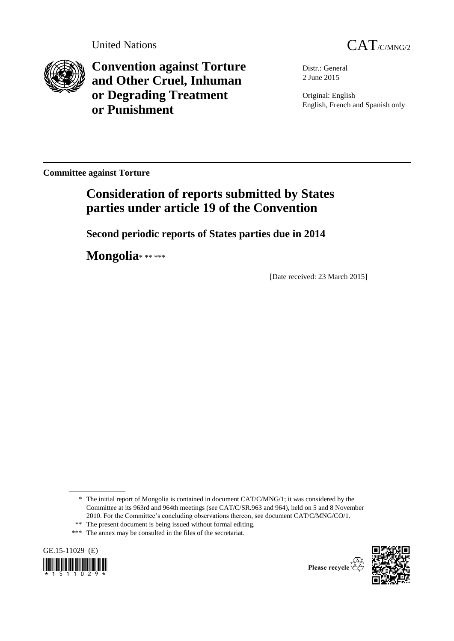

**Convention against Torture and Other Cruel, Inhuman or Degrading Treatment or Punishment**

Distr.: General 2 June 2015

Original: English English, French and Spanish only

**Committee against Torture**

# **Consideration of reports submitted by States parties under article 19 of the Convention**

**Second periodic reports of States parties due in 2014**

**Mongolia**\* \*\* \*\*\*

[Date received: 23 March 2015]

<sup>\*\*\*</sup> The annex may be consulted in the files of the secretariat.





<sup>\*</sup> The initial report of Mongolia is contained in document CAT/C/MNG/1; it was considered by the Committee at its 963rd and 964th meetings (see CAT/C/SR.963 and 964), held on 5 and 8 November 2010. For the Committee's concluding observations thereon, see document CAT/C/MNG/CO/1.

<sup>\*\*</sup> The present document is being issued without formal editing.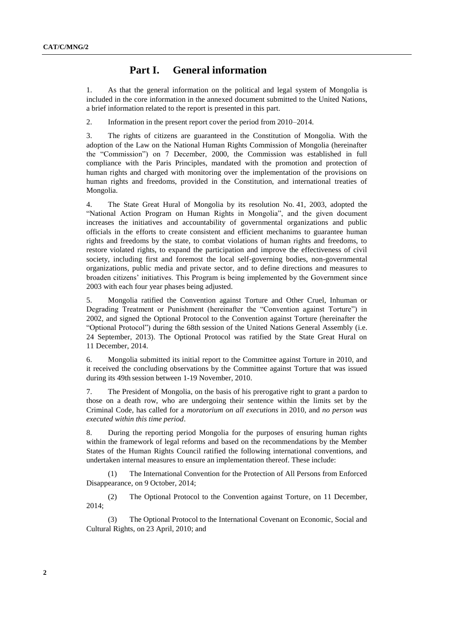# **Part I. General information**

1. As that the general information on the political and legal system of Mongolia is included in the core information in the annexed document submitted to the United Nations, a brief information related to the report is presented in this part.

2. Information in the present report cover the period from 2010–2014.

3. The rights of citizens are guaranteed in the Constitution of Mongolia. With the adoption of the Law on the National Human Rights Commission of Mongolia (hereinafter the "Commission") on 7 December, 2000, the Commission was established in full compliance with the Paris Principles, mandated with the promotion and protection of human rights and charged with monitoring over the implementation of the provisions on human rights and freedoms, provided in the Constitution, and international treaties of Mongolia.

4. The State Great Hural of Mongolia by its resolution No. 41, 2003, adopted the "National Action Program on Human Rights in Mongolia", and the given document increases the initiatives and accountability of governmental organizations and public officials in the efforts to create consistent and efficient mechanims to guarantee human rights and freedoms by the state, to combat violations of human rights and freedoms, to restore violated rights, to expand the participation and improve the effectiveness of civil society, including first and foremost the local self-governing bodies, non-governmental organizations, public media and private sector, and to define directions and measures to broaden citizens' initiatives. This Program is being implemented by the Government since 2003 with each four year phases being adjusted.

5. Mongolia ratified the Convention against Torture and Other Cruel, Inhuman or Degrading Treatment or Punishment (hereinafter the "Convention against Torture") in 2002, and signed the Optional Protocol to the Convention against Torture (hereinafter the "Optional Protocol") during the 68th session of the United Nations General Assembly (i.e. 24 September, 2013). The Optional Protocol was ratified by the State Great Hural on 11 December, 2014.

6. Mongolia submitted its initial report to the Committee against Torture in 2010, and it received the concluding observations by the Committee against Torture that was issued during its 49th session between 1-19 November, 2010.

7. The President of Mongolia, on the basis of his prerogative right to grant a pardon to those on a death row, who are undergoing their sentence within the limits set by the Criminal Code, has called for a *moratorium on all executions* in 2010, and *no person was executed within this time period*.

8. During the reporting period Mongolia for the purposes of ensuring human rights within the framework of legal reforms and based on the recommendations by the Member States of the Human Rights Council ratified the following international conventions, and undertaken internal measures to ensure an implementation thereof. These include:

The International Convention for the Protection of All Persons from Enforced Disappearance, on 9 October, 2014;

(2) The Optional Protocol to the Convention against Torture, on 11 December, 2014;

(3) The Optional Protocol to the International Covenant on Economic, Social and Cultural Rights, on 23 April, 2010; and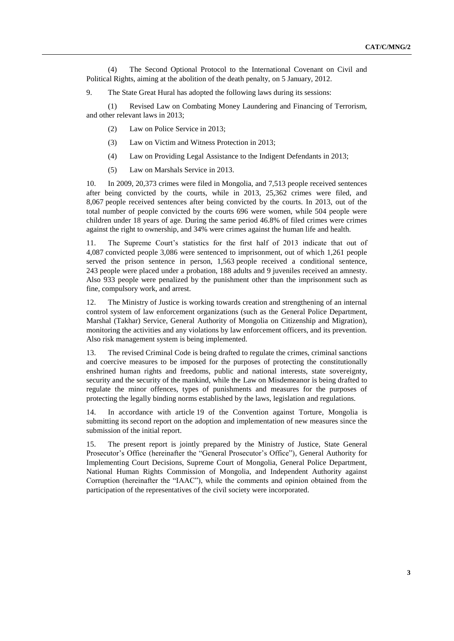(4) The Second Optional Protocol to the International Covenant on Civil and Political Rights, aiming at the abolition of the death penalty, on 5 January, 2012.

9. The State Great Hural has adopted the following laws during its sessions:

(1) Revised Law on Combating Money Laundering and Financing of Terrorism, and other relevant laws in 2013;

- (2) Law on Police Service in 2013;
- (3) Law on Victim and Witness Protection in 2013;
- (4) Law on Providing Legal Assistance to the Indigent Defendants in 2013;
- (5) Law on Marshals Service in 2013.

10. In 2009, 20,373 crimes were filed in Mongolia, and 7,513 people received sentences after being convicted by the courts, while in 2013, 25,362 crimes were filed, and 8,067 people received sentences after being convicted by the courts. In 2013, out of the total number of people convicted by the courts 696 were women, while 504 people were children under 18 years of age. During the same period 46.8% of filed crimes were crimes against the right to ownership, and 34% were crimes against the human life and health.

11. The Supreme Court's statistics for the first half of 2013 indicate that out of 4,087 convicted people 3,086 were sentenced to imprisonment, out of which 1,261 people served the prison sentence in person, 1,563 people received a conditional sentence, 243 people were placed under a probation, 188 adults and 9 juveniles received an amnesty. Also 933 people were penalized by the punishment other than the imprisonment such as fine, compulsory work, and arrest.

12. The Ministry of Justice is working towards creation and strengthening of an internal control system of law enforcement organizations (such as the General Police Department, Marshal (Takhar) Service, General Authority of Mongolia on Citizenship and Migration), monitoring the activities and any violations by law enforcement officers, and its prevention. Also risk management system is being implemented.

13. The revised Criminal Code is being drafted to regulate the crimes, criminal sanctions and coercive measures to be imposed for the purposes of protecting the constitutionally enshrined human rights and freedoms, public and national interests, state sovereignty, security and the security of the mankind, while the Law on Misdemeanor is being drafted to regulate the minor offences, types of punishments and measures for the purposes of protecting the legally binding norms established by the laws, legislation and regulations.

14. In accordance with article 19 of the Convention against Torture, Mongolia is submitting its second report on the adoption and implementation of new measures since the submission of the initial report.

15. The present report is jointly prepared by the Ministry of Justice, State General Prosecutor's Office (hereinafter the "General Prosecutor's Office"), General Authority for Implementing Court Decisions, Supreme Court of Mongolia, General Police Department, National Human Rights Commission of Mongolia, and Independent Authority against Corruption (hereinafter the "IAAC"), while the comments and opinion obtained from the participation of the representatives of the civil society were incorporated.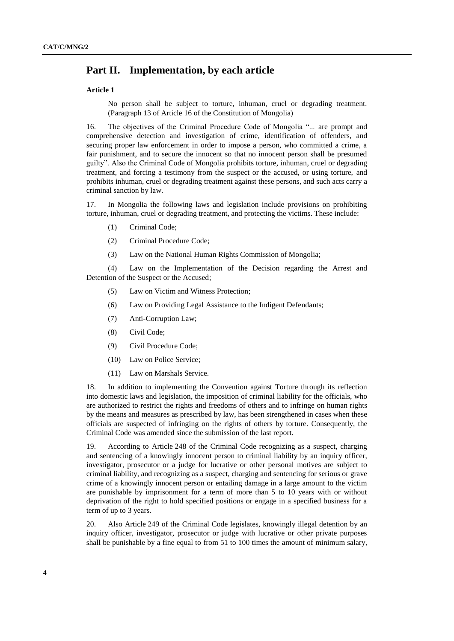# **Part II. Implementation, by each article**

# **Article 1**

No person shall be subject to torture, inhuman, cruel or degrading treatment. (Paragraph 13 of Article 16 of the Constitution of Mongolia)

16. The objectives of the Criminal Procedure Code of Mongolia "... are prompt and comprehensive detection and investigation of crime, identification of offenders, and securing proper law enforcement in order to impose a person, who committed a crime, a fair punishment, and to secure the innocent so that no innocent person shall be presumed guilty". Also the Criminal Code of Mongolia prohibits torture, inhuman, cruel or degrading treatment, and forcing a testimony from the suspect or the accused, or using torture, and prohibits inhuman, cruel or degrading treatment against these persons, and such acts carry a criminal sanction by law.

17. In Mongolia the following laws and legislation include provisions on prohibiting torture, inhuman, cruel or degrading treatment, and protecting the victims. These include:

- (1) Criminal Code;
- (2) Criminal Procedure Code;
- (3) Law on the National Human Rights Commission of Mongolia;

(4) Law on the Implementation of the Decision regarding the Arrest and Detention of the Suspect or the Accused;

- (5) Law on Victim and Witness Protection;
- (6) Law on Providing Legal Assistance to the Indigent Defendants;
- (7) Anti-Corruption Law;
- (8) Civil Code;
- (9) Civil Procedure Code;
- (10) Law on Police Service;
- (11) Law on Marshals Service.

18. In addition to implementing the Convention against Torture through its reflection into domestic laws and legislation, the imposition of criminal liability for the officials, who are authorized to restrict the rights and freedoms of others and to infringe on human rights by the means and measures as prescribed by law, has been strengthened in cases when these officials are suspected of infringing on the rights of others by torture. Consequently, the Criminal Code was amended since the submission of the last report.

19. According to Article 248 of the Criminal Code recognizing as a suspect, charging and sentencing of a knowingly innocent person to criminal liability by an inquiry officer, investigator, prosecutor or a judge for lucrative or other personal motives are subject to criminal liability, and recognizing as a suspect, charging and sentencing for serious or grave crime of a knowingly innocent person or entailing damage in a large amount to the victim are punishable by imprisonment for a term of more than 5 to 10 years with or without deprivation of the right to hold specified positions or engage in a specified business for a term of up to 3 years.

20. Also Article 249 of the Criminal Code legislates, knowingly illegal detention by an inquiry officer, investigator, prosecutor or judge with lucrative or other private purposes shall be punishable by a fine equal to from 51 to 100 times the amount of minimum salary,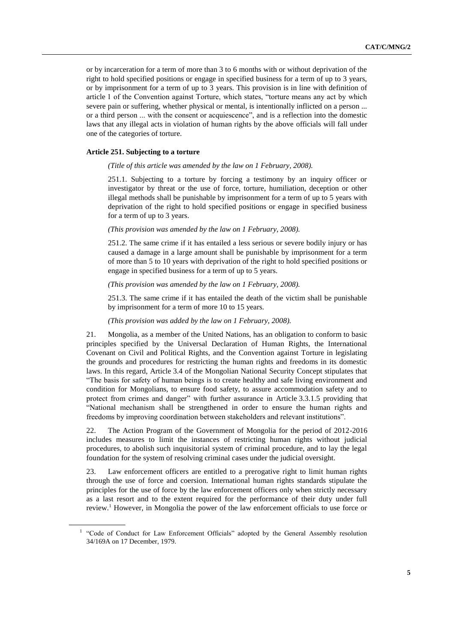or by incarceration for a term of more than 3 to 6 months with or without deprivation of the right to hold specified positions or engage in specified business for a term of up to 3 years, or by imprisonment for a term of up to 3 years. This provision is in line with definition of article 1 of the Convention against Torture, which states, "torture means any act by which severe pain or suffering, whether physical or mental, is intentionally inflicted on a person ... or a third person ... with the consent or acquiescence", and is a reflection into the domestic laws that any illegal acts in violation of human rights by the above officials will fall under one of the categories of torture.

# **Article 251. Subjecting to a torture**

# *(Title of this article was amended by the law on 1 February, 2008).*

251.1. Subjecting to a torture by forcing a testimony by an inquiry officer or investigator by threat or the use of force, torture, humiliation, deception or other illegal methods shall be punishable by imprisonment for a term of up to 5 years with deprivation of the right to hold specified positions or engage in specified business for a term of up to 3 years.

# *(This provision was amended by the law on 1 February, 2008).*

251.2. The same crime if it has entailed a less serious or severe bodily injury or has caused a damage in a large amount shall be punishable by imprisonment for a term of more than 5 to 10 years with deprivation of the right to hold specified positions or engage in specified business for a term of up to 5 years.

#### *(This provision was amended by the law on 1 February, 2008).*

251.3. The same crime if it has entailed the death of the victim shall be punishable by imprisonment for a term of more 10 to 15 years.

# *(This provision was added by the law on 1 February, 2008).*

21. Mongolia, as a member of the United Nations, has an obligation to conform to basic principles specified by the Universal Declaration of Human Rights, the International Covenant on Civil and Political Rights, and the Convention against Torture in legislating the grounds and procedures for restricting the human rights and freedoms in its domestic laws. In this regard, Article 3.4 of the Mongolian National Security Concept stipulates that "The basis for safety of human beings is to create healthy and safe living environment and condition for Mongolians, to ensure food safety, to assure accommodation safety and to protect from crimes and danger" with further assurance in Article 3.3.1.5 providing that "National mechanism shall be strengthened in order to ensure the human rights and freedoms by improving coordination between stakeholders and relevant institutions".

22. The Action Program of the Government of Mongolia for the period of 2012-2016 includes measures to limit the instances of restricting human rights without judicial procedures, to abolish such inquisitorial system of criminal procedure, and to lay the legal foundation for the system of resolving criminal cases under the judicial oversight.

23. Law enforcement officers are entitled to a prerogative right to limit human rights through the use of force and coersion. International human rights standards stipulate the principles for the use of force by the law enforcement officers only when strictly necessary as a last resort and to the extent required for the performance of their duty under full review.<sup>1</sup> However, in Mongolia the power of the law enforcement officials to use force or

<sup>&</sup>lt;sup>1</sup> "Code of Conduct for Law Enforcement Officials" adopted by the General Assembly resolution 34/169A on 17 December, 1979.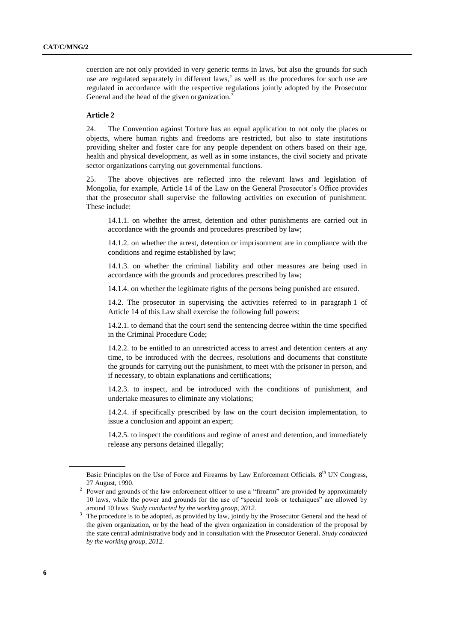coercion are not only provided in very generic terms in laws, but also the grounds for such use are regulated separately in different laws,<sup>2</sup> as well as the procedures for such use are regulated in accordance with the respective regulations jointly adopted by the Prosecutor General and the head of the given organization.<sup>3</sup>

# **Article 2**

24. The Convention against Torture has an equal application to not only the places or objects, where human rights and freedoms are restricted, but also to state institutions providing shelter and foster care for any people dependent on others based on their age, health and physical development, as well as in some instances, the civil society and private sector organizations carrying out governmental functions.

25. The above objectives are reflected into the relevant laws and legislation of Mongolia, for example, Article 14 of the Law on the General Prosecutor's Office provides that the prosecutor shall supervise the following activities on execution of punishment. These include:

14.1.1. on whether the arrest, detention and other punishments are carried out in accordance with the grounds and procedures prescribed by law;

14.1.2. on whether the arrest, detention or imprisonment are in compliance with the conditions and regime established by law;

14.1.3. on whether the criminal liability and other measures are being used in accordance with the grounds and procedures prescribed by law;

14.1.4. on whether the legitimate rights of the persons being punished are ensured.

14.2. The prosecutor in supervising the activities referred to in paragraph 1 of Article 14 of this Law shall exercise the following full powers:

14.2.1. to demand that the court send the sentencing decree within the time specified in the Criminal Procedure Code;

14.2.2. to be entitled to an unrestricted access to arrest and detention centers at any time, to be introduced with the decrees, resolutions and documents that constitute the grounds for carrying out the punishment, to meet with the prisoner in person, and if necessary, to obtain explanations and certifications;

14.2.3. to inspect, and be introduced with the conditions of punishment, and undertake measures to eliminate any violations;

14.2.4. if specifically prescribed by law on the court decision implementation, to issue a conclusion and appoint an expert;

14.2.5. to inspect the conditions and regime of arrest and detention, and immediately release any persons detained illegally;

Basic Principles on the Use of Force and Firearms by Law Enforcement Officials. 8<sup>th</sup> UN Congress, 27 August, 1990.

<sup>&</sup>lt;sup>2</sup> Power and grounds of the law enforcement officer to use a "firearm" are provided by approximately 10 laws, while the power and grounds for the use of "special tools or techniques" are allowed by around 10 laws. *Study conducted by the working group, 2012.* 

<sup>&</sup>lt;sup>3</sup> The procedure is to be adopted, as provided by law, jointly by the Prosecutor General and the head of the given organization, or by the head of the given organization in consideration of the proposal by the state central administrative body and in consultation with the Prosecutor General*. Study conducted by the working group, 2012.*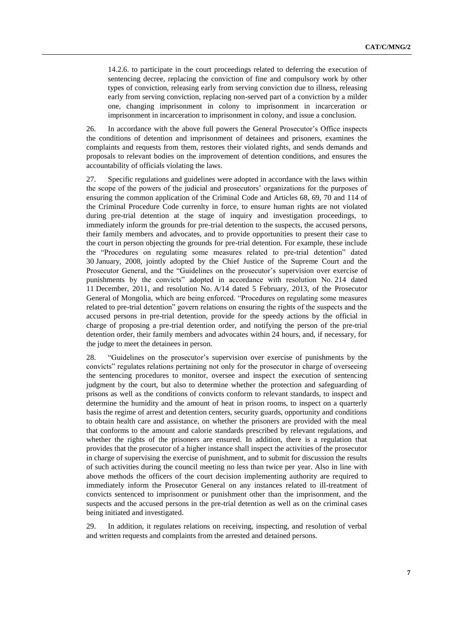14.2.6. to participate in the court proceedings related to deferring the execution of sentencing decree, replacing the conviction of fine and compulsory work by other types of conviction, releasing early from serving conviction due to illness, releasing early from serving conviction, replacing non-served part of a conviction by a milder one, changing imprisonment in colony to imprisonment in incarceration or imprisonment in incarceration to imprisonment in colony, and issue a conclusion.

26. In accordance with the above full powers the General Prosecutor's Office inspects the conditions of detention and imprisonment of detainees and prisoners, examines the complaints and requests from them, restores their violated rights, and sends demands and proposals to relevant bodies on the improvement of detention conditions, and ensures the accountability of officials violating the laws.

27. Specific regulations and guidelines were adopted in accordance with the laws within the scope of the powers of the judicial and prosecutors' organizations for the purposes of ensuring the common application of the Criminal Code and Articles 68, 69, 70 and 114 of the Criminal Procedure Code currenlty in force, to ensure human rights are not violated during pre-trial detention at the stage of inquiry and investigation proceedings, to immediately inform the grounds for pre-trial detention to the suspects, the accused persons, their family members and advocates, and to provide opportunities to present their case to the court in person objecting the grounds for pre-trial detention. For example, these include the "Procedures on regulating some measures related to pre-trial detention" dated 30 January, 2008, jointly adopted by the Chief Justice of the Supreme Court and the Prosecutor General, and the "Guidelines on the prosecutor's supervision over exercise of punishments by the convicts" adopted in accordance with resolution No. 214 dated 11 December, 2011, and resolution No. A/14 dated 5 February, 2013, of the Prosecutor General of Mongolia, which are being enforced. "Procedures on regulating some measures related to pre-trial detention" govern relations on ensuring the rights of the suspects and the accused persons in pre-trial detention, provide for the speedy actions by the official in charge of proposing a pre-trial detention order, and notifying the person of the pre-trial detention order, their family members and advocates within 24 hours, and, if necessary, for the judge to meet the detainees in person.

28. "Guidelines on the prosecutor's supervision over exercise of punishments by the convicts" regulates relations pertaining not only for the prosecutor in charge of overseeing the sentencing procedures to monitor, oversee and inspect the execution of sentencing judgment by the court, but also to determine whether the protection and safeguarding of prisons as well as the conditions of convicts conform to relevant standards, to inspect and determine the humidity and the amount of heat in prison rooms, to inspect on a quarterly basis the regime of arrest and detention centers, security guards, opportunity and conditions to obtain health care and assistance, on whether the prisoners are provided with the meal that conforms to the amount and calorie standards prescribed by relevant regulations, and whether the rights of the prisoners are ensured. In addition, there is a regulation that provides that the prosecutor of a higher instance shall inspect the activities of the prosecutor in charge of supervising the exercise of punishment, and to submit for discussion the results of such activities during the council meeting no less than twice per year. Also in line with above methods the officers of the court decision implementing authority are required to immediately inform the Prosecutor General on any instances related to ill-treatment of convicts sentenced to imprisonment or punishment other than the imprisonment, and the suspects and the accused persons in the pre-trial detention as well as on the criminal cases being initiated and investigated.

29. In addition, it regulates relations on receiving, inspecting, and resolution of verbal and written requests and complaints from the arrested and detained persons.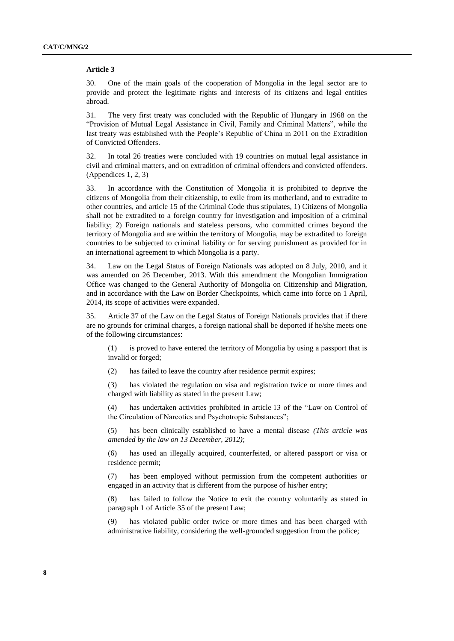#### **Article 3**

30. One of the main goals of the cooperation of Mongolia in the legal sector are to provide and protect the legitimate rights and interests of its citizens and legal entities abroad.

31. The very first treaty was concluded with the Republic of Hungary in 1968 on the "Provision of Mutual Legal Assistance in Civil, Family and Criminal Matters", while the last treaty was established with the People's Republic of China in 2011 on the Extradition of Convicted Offenders.

32. In total 26 treaties were concluded with 19 countries on mutual legal assistance in civil and criminal matters, and on extradition of criminal offenders and convicted offenders. (Appendices 1, 2, 3)

33. In accordance with the Constitution of Mongolia it is prohibited to deprive the citizens of Mongolia from their citizenship, to exile from its motherland, and to extradite to other countries, and article 15 of the Criminal Code thus stipulates, 1) Citizens of Mongolia shall not be extradited to a foreign country for investigation and imposition of a criminal liability; 2) Foreign nationals and stateless persons, who committed crimes beyond the territory of Mongolia and are within the territory of Mongolia, may be extradited to foreign countries to be subjected to criminal liability or for serving punishment as provided for in an international agreement to which Mongolia is a party.

34. Law on the Legal Status of Foreign Nationals was adopted on 8 July, 2010, and it was amended on 26 December, 2013. With this amendment the Mongolian Immigration Office was changed to the General Authority of Mongolia on Citizenship and Migration, and in accordance with the Law on Border Checkpoints, which came into force on 1 April, 2014, its scope of activities were expanded.

35. Article 37 of the Law on the Legal Status of Foreign Nationals provides that if there are no grounds for criminal charges, a foreign national shall be deported if he/she meets one of the following circumstances:

(1) is proved to have entered the territory of Mongolia by using a passport that is invalid or forged;

(2) has failed to leave the country after residence permit expires;

(3) has violated the regulation on visa and registration twice or more times and charged with liability as stated in the present Law;

(4) has undertaken activities prohibited in article 13 of the "Law on Control of the Circulation of Narcotics and Psychotropic Substances";

(5) has been clinically established to have a mental disease *(This article was amended by the law on 13 December, 2012)*;

(6) has used an illegally acquired, counterfeited, or altered passport or visa or residence permit;

(7) has been employed without permission from the competent authorities or engaged in an activity that is different from the purpose of his/her entry;

(8) has failed to follow the Notice to exit the country voluntarily as stated in paragraph 1 of Article 35 of the present Law;

(9) has violated public order twice or more times and has been charged with administrative liability, considering the well-grounded suggestion from the police;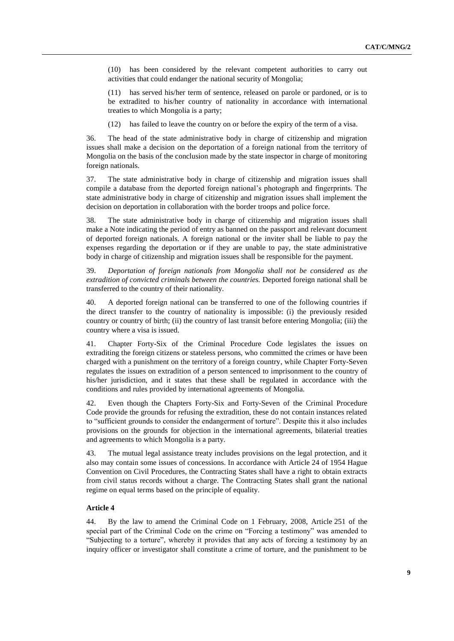(10) has been considered by the relevant competent authorities to carry out activities that could endanger the national security of Mongolia;

(11) has served his/her term of sentence, released on parole or pardoned, or is to be extradited to his/her country of nationality in accordance with international treaties to which Mongolia is a party;

(12) has failed to leave the country on or before the expiry of the term of a visa.

36. The head of the state administrative body in charge of citizenship and migration issues shall make a decision on the deportation of a foreign national from the territory of Mongolia on the basis of the conclusion made by the state inspector in charge of monitoring foreign nationals.

37. The state administrative body in charge of citizenship and migration issues shall compile a database from the deported foreign national's photograph and fingerprints. The state administrative body in charge of citizenship and migration issues shall implement the decision on deportation in collaboration with the border troops and police force.

38. The state administrative body in charge of citizenship and migration issues shall make a Note indicating the period of entry as banned on the passport and relevant document of deported foreign nationals. A foreign national or the inviter shall be liable to pay the expenses regarding the deportation or if they are unable to pay, the state administrative body in charge of citizenship and migration issues shall be responsible for the payment.

39. *Deportation of foreign nationals from Mongolia shall not be considered as the extradition of convicted criminals between the countries.* Deported foreign national shall be transferred to the country of their nationality.

40. A deported foreign national can be transferred to one of the following countries if the direct transfer to the country of nationality is impossible: (i) the previously resided country or country of birth; (ii) the country of last transit before entering Mongolia; (iii) the country where a visa is issued.

41. Chapter Forty-Six of the Criminal Procedure Code legislates the issues on extraditing the foreign citizens or stateless persons, who committed the crimes or have been charged with a punishment on the territory of a foreign country, while Chapter Forty-Seven regulates the issues on extradition of a person sentenced to imprisonment to the country of his/her jurisdiction, and it states that these shall be regulated in accordance with the conditions and rules provided by international agreements of Mongolia.

42. Even though the Chapters Forty-Six and Forty-Seven of the Criminal Procedure Code provide the grounds for refusing the extradition, these do not contain instances related to "sufficient grounds to consider the endangerment of torture". Despite this it also includes provisions on the grounds for objection in the international agreements, bilaterial treaties and agreements to which Mongolia is a party.

43. The mutual legal assistance treaty includes provisions on the legal protection, and it also may contain some issues of concessions. In accordance with Article 24 of 1954 Hague Convention on Civil Procedures, the Contracting States shall have a right to obtain extracts from civil status records without a charge. The Contracting States shall grant the national regime on equal terms based on the principle of equality.

# **Article 4**

44. By the law to amend the Criminal Code on 1 February, 2008, Article 251 of the special part of the Criminal Code on the crime on "Forcing a testimony" was amended to "Subjecting to a torture", whereby it provides that any acts of forcing a testimony by an inquiry officer or investigator shall constitute a crime of torture, and the punishment to be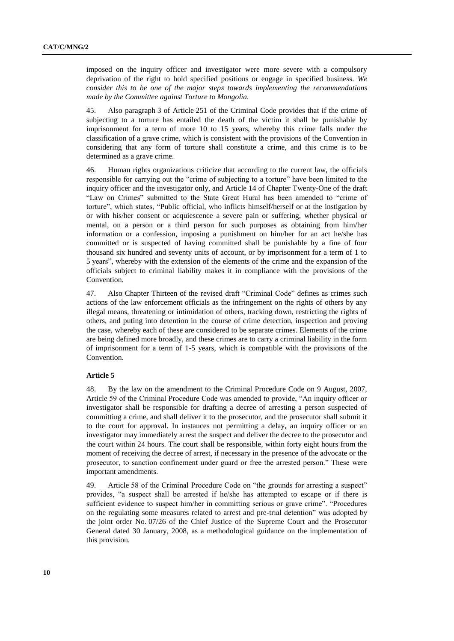imposed on the inquiry officer and investigator were more severe with a compulsory deprivation of the right to hold specified positions or engage in specified business. *We consider this to be one of the major steps towards implementing the recommendations made by the Committee against Torture to Mongolia.* 

45. Also paragraph 3 of Article 251 of the Criminal Code provides that if the crime of subjecting to a torture has entailed the death of the victim it shall be punishable by imprisonment for a term of more 10 to 15 years, whereby this crime falls under the classification of a grave crime, which is consistent with the provisions of the Convention in considering that any form of torture shall constitute a crime, and this crime is to be determined as a grave crime.

46. Human rights organizations criticize that according to the current law, the officials responsible for carrying out the "crime of subjecting to a torture" have been limited to the inquiry officer and the investigator only, and Article 14 of Chapter Twenty-One of the draft "Law on Crimes" submitted to the State Great Hural has been amended to "crime of torture", which states, "Public official, who inflicts himself/herself or at the instigation by or with his/her consent or acquiescence a severe pain or suffering, whether physical or mental, on a person or a third person for such purposes as obtaining from him/her information or a confession, imposing a punishment on him/her for an act he/she has committed or is suspected of having committed shall be punishable by a fine of four thousand six hundred and seventy units of account, or by imprisonment for a term of 1 to 5 years", whereby with the extension of the elements of the crime and the expansion of the officials subject to criminal liability makes it in compliance with the provisions of the Convention.

47. Also Chapter Thirteen of the revised draft "Criminal Code" defines as crimes such actions of the law enforcement officials as the infringement on the rights of others by any illegal means, threatening or intimidation of others, tracking down, restricting the rights of others, and puting into detention in the course of crime detection, inspection and proving the case, whereby each of these are considered to be separate crimes. Elements of the crime are being defined more broadly, and these crimes are to carry a criminal liability in the form of imprisonment for a term of 1-5 years, which is compatible with the provisions of the Convention.

# **Article 5**

48. By the law on the amendment to the Criminal Procedure Code on 9 August, 2007, Article 59 of the Criminal Procedure Code was amended to provide, "An inquiry officer or investigator shall be responsible for drafting a decree of arresting a person suspected of committing a crime, and shall deliver it to the prosecutor, and the prosecutor shall submit it to the court for approval. In instances not permitting a delay, an inquiry officer or an investigator may immediately arrest the suspect and deliver the decree to the prosecutor and the court within 24 hours. The court shall be responsible, within forty eight hours from the moment of receiving the decree of arrest, if necessary in the presence of the advocate or the prosecutor, to sanction confinement under guard or free the arrested person." These were important amendments.

49. Article 58 of the Criminal Procedure Code on "the grounds for arresting a suspect" provides, "a suspect shall be arrested if he/she has attempted to escape or if there is sufficient evidence to suspect him/her in committing serious or grave crime". "Procedures on the regulating some measures related to arrest and pre-trial detention" was adopted by the joint order No. 07/26 of the Chief Justice of the Supreme Court and the Prosecutor General dated 30 January, 2008, as a methodological guidance on the implementation of this provision.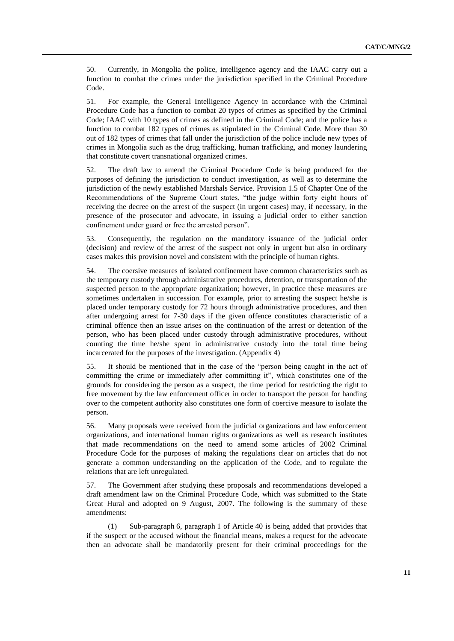50. Currently, in Mongolia the police, intelligence agency and the IAAC carry out a function to combat the crimes under the jurisdiction specified in the Criminal Procedure Code.

51. For example, the General Intelligence Agency in accordance with the Criminal Procedure Code has a function to combat 20 types of crimes as specified by the Criminal Code; IAAC with 10 types of crimes as defined in the Criminal Code; and the police has a function to combat 182 types of crimes as stipulated in the Criminal Code. More than 30 out of 182 types of crimes that fall under the jurisdiction of the police include new types of crimes in Mongolia such as the drug trafficking, human trafficking, and money laundering that constitute covert transnational organized crimes.

52. The draft law to amend the Criminal Procedure Code is being produced for the purposes of defining the jurisdiction to conduct investigation, as well as to determine the jurisdiction of the newly established Marshals Service. Provision 1.5 of Chapter One of the Recommendations of the Supreme Court states, "the judge within forty eight hours of receiving the decree on the arrest of the suspect (in urgent cases) may, if necessary, in the presence of the prosecutor and advocate, in issuing a judicial order to either sanction confinement under guard or free the arrested person".

53. Consequently, the regulation on the mandatory issuance of the judicial order (decision) and review of the arrest of the suspect not only in urgent but also in ordinary cases makes this provision novel and consistent with the principle of human rights.

54. The coersive measures of isolated confinement have common characteristics such as the temporary custody through administrative procedures, detention, or transportation of the suspected person to the appropriate organization; however, in practice these measures are sometimes undertaken in succession. For example, prior to arresting the suspect he/she is placed under temporary custody for 72 hours through administrative procedures, and then after undergoing arrest for 7-30 days if the given offence constitutes characteristic of a criminal offence then an issue arises on the continuation of the arrest or detention of the person, who has been placed under custody through administrative procedures, without counting the time he/she spent in administrative custody into the total time being incarcerated for the purposes of the investigation. (Appendix 4)

55. It should be mentioned that in the case of the "person being caught in the act of committing the crime or immediately after committing it", which constitutes one of the grounds for considering the person as a suspect, the time period for restricting the right to free movement by the law enforcement officer in order to transport the person for handing over to the competent authority also constitutes one form of coercive measure to isolate the person.

56. Many proposals were received from the judicial organizations and law enforcement organizations, and international human rights organizations as well as research institutes that made recommendations on the need to amend some articles of 2002 Criminal Procedure Code for the purposes of making the regulations clear on articles that do not generate a common understanding on the application of the Code, and to regulate the relations that are left unregulated.

57. The Government after studying these proposals and recommendations developed a draft amendment law on the Criminal Procedure Code, which was submitted to the State Great Hural and adopted on 9 August, 2007. The following is the summary of these amendments:

(1) Sub-paragraph 6, paragraph 1 of Article 40 is being added that provides that if the suspect or the accused without the financial means, makes a request for the advocate then an advocate shall be mandatorily present for their criminal proceedings for the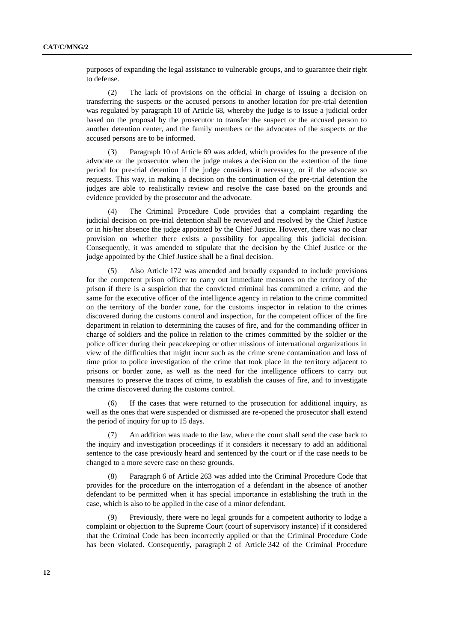purposes of expanding the legal assistance to vulnerable groups, and to guarantee their right to defense.

(2) The lack of provisions on the official in charge of issuing a decision on transferring the suspects or the accused persons to another location for pre-trial detention was regulated by paragraph 10 of Article 68, whereby the judge is to issue a judicial order based on the proposal by the prosecutor to transfer the suspect or the accused person to another detention center, and the family members or the advocates of the suspects or the accused persons are to be informed.

Paragraph 10 of Article 69 was added, which provides for the presence of the advocate or the prosecutor when the judge makes a decision on the extention of the time period for pre-trial detention if the judge considers it necessary, or if the advocate so requests. This way, in making a decision on the continuation of the pre-trial detention the judges are able to realistically review and resolve the case based on the grounds and evidence provided by the prosecutor and the advocate.

(4) The Criminal Procedure Code provides that a complaint regarding the judicial decision on pre-trial detention shall be reviewed and resolved by the Chief Justice or in his/her absence the judge appointed by the Chief Justice. However, there was no clear provision on whether there exists a possibility for appealing this judicial decision. Consequently, it was amended to stipulate that the decision by the Chief Justice or the judge appointed by the Chief Justice shall be a final decision.

(5) Also Article 172 was amended and broadly expanded to include provisions for the competent prison officer to carry out immediate measures on the territory of the prison if there is a suspicion that the convicted criminal has committed a crime, and the same for the executive officer of the intelligence agency in relation to the crime committed on the territory of the border zone, for the customs inspector in relation to the crimes discovered during the customs control and inspection, for the competent officer of the fire department in relation to determining the causes of fire, and for the commanding officer in charge of soldiers and the police in relation to the crimes committed by the soldier or the police officer during their peacekeeping or other missions of international organizations in view of the difficulties that might incur such as the crime scene contamination and loss of time prior to police investigation of the crime that took place in the territory adjacent to prisons or border zone, as well as the need for the intelligence officers to carry out measures to preserve the traces of crime, to establish the causes of fire, and to investigate the crime discovered during the customs control.

(6) If the cases that were returned to the prosecution for additional inquiry, as well as the ones that were suspended or dismissed are re-opened the prosecutor shall extend the period of inquiry for up to 15 days.

An addition was made to the law, where the court shall send the case back to the inquiry and investigation proceedings if it considers it necessary to add an additional sentence to the case previously heard and sentenced by the court or if the case needs to be changed to a more severe case on these grounds.

(8) Paragraph 6 of Article 263 was added into the Criminal Procedure Code that provides for the procedure on the interrogation of a defendant in the absence of another defendant to be permitted when it has special importance in establishing the truth in the case, which is also to be applied in the case of a minor defendant.

(9) Previously, there were no legal grounds for a competent authority to lodge a complaint or objection to the Supreme Court (court of supervisory instance) if it considered that the Criminal Code has been incorrectly applied or that the Criminal Procedure Code has been violated. Consequently, paragraph 2 of Article 342 of the Criminal Procedure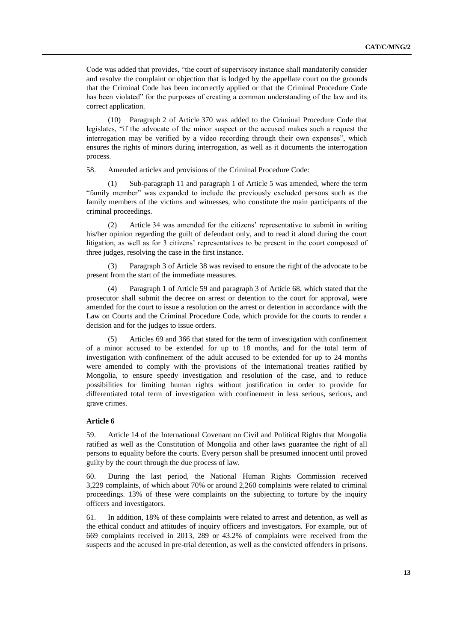Code was added that provides, "the court of supervisory instance shall mandatorily consider and resolve the complaint or objection that is lodged by the appellate court on the grounds that the Criminal Code has been incorrectly applied or that the Criminal Procedure Code has been violated" for the purposes of creating a common understanding of the law and its correct application.

(10) Paragraph 2 of Article 370 was added to the Criminal Procedure Code that legislates, "if the advocate of the minor suspect or the accused makes such a request the interrogation may be verified by a video recording through their own expenses", which ensures the rights of minors during interrogation, as well as it documents the interrogation process.

58. Amended articles and provisions of the Criminal Procedure Code:

(1) Sub-paragraph 11 and paragraph 1 of Article 5 was amended, where the term "family member" was expanded to include the previously excluded persons such as the family members of the victims and witnesses, who constitute the main participants of the criminal proceedings.

(2) Article 34 was amended for the citizens' representative to submit in writing his/her opinion regarding the guilt of defendant only, and to read it aloud during the court litigation, as well as for 3 citizens' representatives to be present in the court composed of three judges, resolving the case in the first instance.

(3) Paragraph 3 of Article 38 was revised to ensure the right of the advocate to be present from the start of the immediate measures.

(4) Paragraph 1 of Article 59 and paragraph 3 of Article 68, which stated that the prosecutor shall submit the decree on arrest or detention to the court for approval, were amended for the court to issue a resolution on the arrest or detention in accordance with the Law on Courts and the Criminal Procedure Code, which provide for the courts to render a decision and for the judges to issue orders.

(5) Articles 69 and 366 that stated for the term of investigation with confinement of a minor accused to be extended for up to 18 months, and for the total term of investigation with confinement of the adult accused to be extended for up to 24 months were amended to comply with the provisions of the international treaties ratified by Mongolia, to ensure speedy investigation and resolution of the case, and to reduce possibilities for limiting human rights without justification in order to provide for differentiated total term of investigation with confinement in less serious, serious, and grave crimes.

# **Article 6**

59. Article 14 of the International Covenant on Civil and Political Rights that Mongolia ratified as well as the Constitution of Mongolia and other laws guarantee the right of all persons to equality before the courts. Every person shall be presumed innocent until proved guilty by the court through the due process of law.

60. During the last period, the National Human Rights Commission received 3,229 complaints, of which about 70% or around 2,260 complaints were related to criminal proceedings. 13% of these were complaints on the subjecting to torture by the inquiry officers and investigators.

61. In addition, 18% of these complaints were related to arrest and detention, as well as the ethical conduct and attitudes of inquiry officers and investigators. For example, out of 669 complaints received in 2013, 289 or 43.2% of complaints were received from the suspects and the accused in pre-trial detention, as well as the convicted offenders in prisons.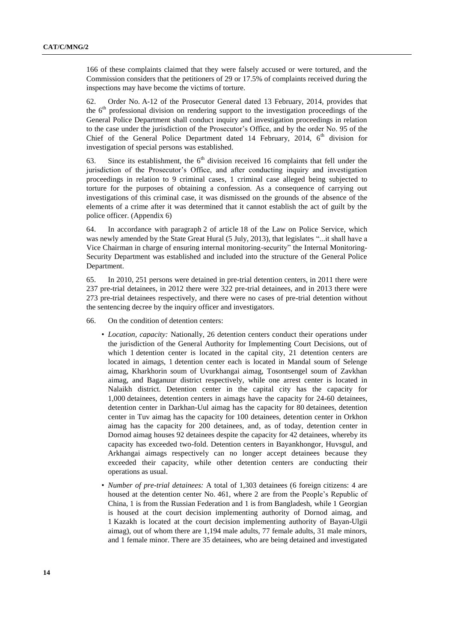166 of these complaints claimed that they were falsely accused or were tortured, and the Commission considers that the petitioners of 29 or 17.5% of complaints received during the inspections may have become the victims of torture.

62. Order No. A-12 of the Prosecutor General dated 13 February, 2014, provides that the  $6<sup>th</sup>$  professional division on rendering support to the investigation proceedings of the General Police Department shall conduct inquiry and investigation proceedings in relation to the case under the jurisdiction of the Prosecutor's Office, and by the order No. 95 of the Chief of the General Police Department dated 14 February, 2014,  $6<sup>th</sup>$  division for investigation of special persons was established.

63. Since its establishment, the  $6<sup>th</sup>$  division received 16 complaints that fell under the jurisdiction of the Prosecutor's Office, and after conducting inquiry and investigation proceedings in relation to 9 criminal cases, 1 criminal case alleged being subjected to torture for the purposes of obtaining a confession. As a consequence of carrying out investigations of this criminal case, it was dismissed on the grounds of the absence of the elements of a crime after it was determined that it cannot establish the act of guilt by the police officer. (Appendix 6)

64. In accordance with paragraph 2 of article 18 of the Law on Police Service, which was newly amended by the State Great Hural (5 July, 2013), that legislates "...it shall have a Vice Chairman in charge of ensuring internal monitoring-security" the Internal Monitoring-Security Department was established and included into the structure of the General Police Department.

65. In 2010, 251 persons were detained in pre-trial detention centers, in 2011 there were 237 pre-trial detainees, in 2012 there were 322 pre-trial detainees, and in 2013 there were 273 pre-trial detainees respectively, and there were no cases of pre-trial detention without the sentencing decree by the inquiry officer and investigators.

- 66. On the condition of detention centers:
	- *Location, capacity:* Nationally, 26 detention centers conduct their operations under the jurisdiction of the General Authority for Implementing Court Decisions, out of which 1 detention center is located in the capital city, 21 detention centers are located in aimags, 1 detention center each is located in Mandal soum of Selenge aimag, Kharkhorin soum of Uvurkhangai aimag, Tosontsengel soum of Zavkhan aimag, and Baganuur district respectively, while one arrest center is located in Nalaikh district. Detention center in the capital city has the capacity for 1,000 detainees, detention centers in aimags have the capacity for 24-60 detainees, detention center in Darkhan-Uul aimag has the capacity for 80 detainees, detention center in Tuv aimag has the capacity for 100 detainees, detention center in Orkhon aimag has the capacity for 200 detainees, and, as of today, detention center in Dornod aimag houses 92 detainees despite the capacity for 42 detainees, whereby its capacity has exceeded two-fold. Detention centers in Bayankhongor, Huvsgul, and Arkhangai aimags respectively can no longer accept detainees because they exceeded their capacity, while other detention centers are conducting their operations as usual.
	- *Number of pre-trial detainees:* A total of 1,303 detainees (6 foreign citizens: 4 are housed at the detention center No. 461, where 2 are from the People's Republic of China, 1 is from the Russian Federation and 1 is from Bangladesh, while 1 Georgian is housed at the court decision implementing authority of Dornod aimag, and 1 Kazakh is located at the court decision implementing authority of Bayan-Ulgii aimag), out of whom there are 1,194 male adults, 77 female adults, 31 male minors, and 1 female minor. There are 35 detainees, who are being detained and investigated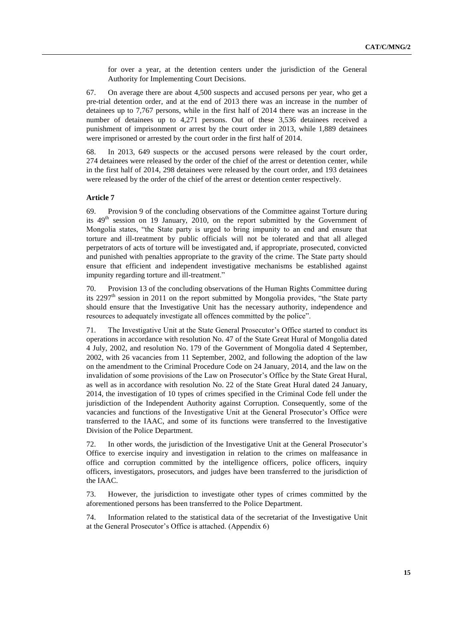for over a year, at the detention centers under the jurisdiction of the General Authority for Implementing Court Decisions.

67. On average there are about 4,500 suspects and accused persons per year, who get a pre-trial detention order, and at the end of 2013 there was an increase in the number of detainees up to 7,767 persons, while in the first half of 2014 there was an increase in the number of detainees up to 4,271 persons. Out of these 3,536 detainees received a punishment of imprisonment or arrest by the court order in 2013, while 1,889 detainees were imprisoned or arrested by the court order in the first half of 2014.

68. In 2013, 649 suspects or the accused persons were released by the court order, 274 detainees were released by the order of the chief of the arrest or detention center, while in the first half of 2014, 298 detainees were released by the court order, and 193 detainees were released by the order of the chief of the arrest or detention center respectively.

# **Article 7**

69. Provision 9 of the concluding observations of the Committee against Torture during its  $49<sup>th</sup>$  session on 19 January, 2010, on the report submitted by the Government of Mongolia states, "the State party is urged to bring impunity to an end and ensure that torture and ill-treatment by public officials will not be tolerated and that all alleged perpetrators of acts of torture will be investigated and, if appropriate, prosecuted, convicted and punished with penalties appropriate to the gravity of the crime. The State party should ensure that efficient and independent investigative mechanisms be established against impunity regarding torture and ill-treatment."

Provision 13 of the concluding observations of the Human Rights Committee during its  $2297<sup>th</sup>$  session in 2011 on the report submitted by Mongolia provides, "the State party should ensure that the Investigative Unit has the necessary authority, independence and resources to adequately investigate all offences committed by the police".

71. The Investigative Unit at the State General Prosecutor's Office started to conduct its operations in accordance with resolution No. 47 of the State Great Hural of Mongolia dated 4 July, 2002, and resolution No. 179 of the Government of Mongolia dated 4 September, 2002, with 26 vacancies from 11 September, 2002, and following the adoption of the law on the amendment to the Criminal Procedure Code on 24 January, 2014, and the law on the invalidation of some provisions of the Law on Prosecutor's Office by the State Great Hural, as well as in accordance with resolution No. 22 of the State Great Hural dated 24 January, 2014, the investigation of 10 types of crimes specified in the Criminal Code fell under the jurisdiction of the Independent Authority against Corruption. Consequently, some of the vacancies and functions of the Investigative Unit at the General Prosecutor's Office were transferred to the IAAC, and some of its functions were transferred to the Investigative Division of the Police Department.

72. In other words, the jurisdiction of the Investigative Unit at the General Prosecutor's Office to exercise inquiry and investigation in relation to the crimes on malfeasance in office and corruption committed by the intelligence officers, police officers, inquiry officers, investigators, prosecutors, and judges have been transferred to the jurisdiction of the IAAC.

73. However, the jurisdiction to investigate other types of crimes committed by the aforementioned persons has been transferred to the Police Department.

74. Information related to the statistical data of the secretariat of the Investigative Unit at the General Prosecutor's Office is attached. (Appendix 6)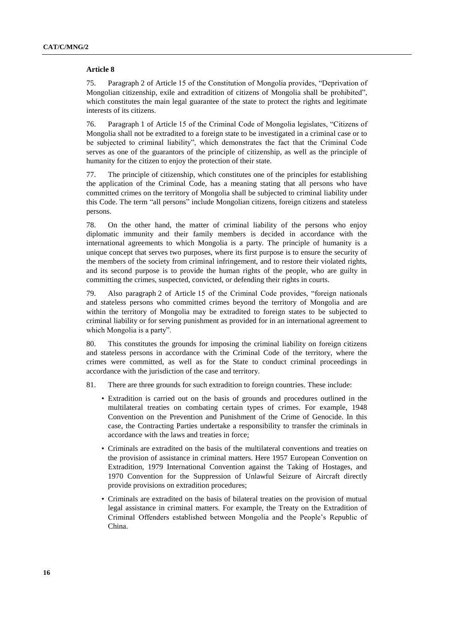#### **Article 8**

75. Paragraph 2 of Article 15 of the Constitution of Mongolia provides, "Deprivation of Mongolian citizenship, exile and extradition of citizens of Mongolia shall be prohibited", which constitutes the main legal guarantee of the state to protect the rights and legitimate interests of its citizens.

76. Paragraph 1 of Article 15 of the Criminal Code of Mongolia legislates, "Citizens of Mongolia shall not be extradited to a foreign state to be investigated in a criminal case or to be subjected to criminal liability", which demonstrates the fact that the Criminal Code serves as one of the guarantors of the principle of citizenship, as well as the principle of humanity for the citizen to enjoy the protection of their state.

77. The principle of citizenship, which constitutes one of the principles for establishing the application of the Criminal Code, has a meaning stating that all persons who have committed crimes on the territory of Mongolia shall be subjected to criminal liability under this Code. The term "all persons" include Mongolian citizens, foreign citizens and stateless persons.

78. On the other hand, the matter of criminal liability of the persons who enjoy diplomatic immunity and their family members is decided in accordance with the international agreements to which Mongolia is a party. The principle of humanity is a unique concept that serves two purposes, where its first purpose is to ensure the security of the members of the society from criminal infringement, and to restore their violated rights, and its second purpose is to provide the human rights of the people, who are guilty in committing the crimes, suspected, convicted, or defending their rights in courts.

79. Also paragraph 2 of Article 15 of the Criminal Code provides, "foreign nationals and stateless persons who committed crimes beyond the territory of Mongolia and are within the territory of Mongolia may be extradited to foreign states to be subjected to criminal liability or for serving punishment as provided for in an international agreement to which Mongolia is a party".

80. This constitutes the grounds for imposing the criminal liability on foreign citizens and stateless persons in accordance with the Criminal Code of the territory, where the crimes were committed, as well as for the State to conduct criminal proceedings in accordance with the jurisdiction of the case and territory.

- 81. There are three grounds for such extradition to foreign countries. These include:
	- Extradition is carried out on the basis of grounds and procedures outlined in the multilateral treaties on combating certain types of crimes. For example, 1948 Convention on the Prevention and Punishment of the Crime of Genocide. In this case, the Contracting Parties undertake a responsibility to transfer the criminals in accordance with the laws and treaties in force;
	- Criminals are extradited on the basis of the multilateral conventions and treaties on the provision of assistance in criminal matters. Here 1957 European Convention on Extradition, 1979 International Convention against the Taking of Hostages, and 1970 Convention for the Suppression of Unlawful Seizure of Aircraft directly provide provisions on extradition procedures;
	- Criminals are extradited on the basis of bilateral treaties on the provision of mutual legal assistance in criminal matters. For example, the Treaty on the Extradition of Criminal Offenders established between Mongolia and the People's Republic of China.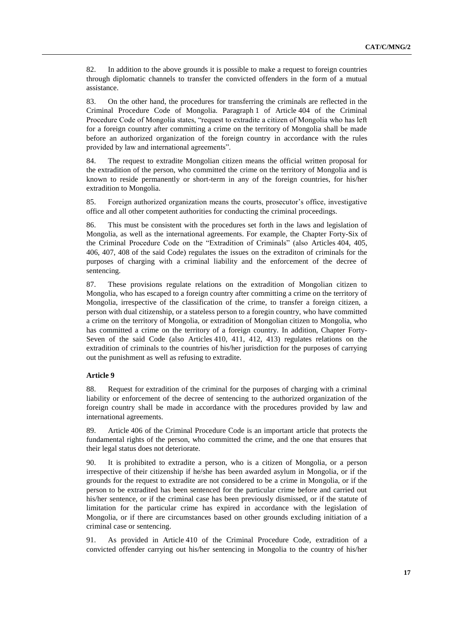82. In addition to the above grounds it is possible to make a request to foreign countries through diplomatic channels to transfer the convicted offenders in the form of a mutual assistance.

83. On the other hand, the procedures for transferring the criminals are reflected in the Criminal Procedure Code of Mongolia. Paragraph 1 of Article 404 of the Criminal Procedure Code of Mongolia states, "request to extradite a citizen of Mongolia who has left for a foreign country after committing a crime on the territory of Mongolia shall be made before an authorized organization of the foreign country in accordance with the rules provided by law and international agreements".

84. The request to extradite Mongolian citizen means the official written proposal for the extradition of the person, who committed the crime on the territory of Mongolia and is known to reside permanently or short-term in any of the foreign countries, for his/her extradition to Mongolia.

85. Foreign authorized organization means the courts, prosecutor's office, investigative office and all other competent authorities for conducting the criminal proceedings.

86. This must be consistent with the procedures set forth in the laws and legislation of Mongolia, as well as the international agreements. For example, the Chapter Forty-Six of the Criminal Procedure Code on the "Extradition of Criminals" (also Articles 404, 405, 406, 407, 408 of the said Code) regulates the issues on the extraditon of criminals for the purposes of charging with a criminal liability and the enforcement of the decree of sentencing.

87. These provisions regulate relations on the extradition of Mongolian citizen to Mongolia, who has escaped to a foreign country after committing a crime on the territory of Mongolia, irrespective of the classification of the crime, to transfer a foreign citizen, a person with dual citizenship, or a stateless person to a foregin country, who have committed a crime on the territory of Mongolia, or extradition of Mongolian citizen to Mongolia, who has committed a crime on the territory of a foreign country. In addition, Chapter Forty-Seven of the said Code (also Articles 410, 411, 412, 413) regulates relations on the extradition of criminals to the countries of his/her jurisdiction for the purposes of carrying out the punishment as well as refusing to extradite.

# **Article 9**

88. Request for extradition of the criminal for the purposes of charging with a criminal liability or enforcement of the decree of sentencing to the authorized organization of the foreign country shall be made in accordance with the procedures provided by law and international agreements.

89. Article 406 of the Criminal Procedure Code is an important article that protects the fundamental rights of the person, who committed the crime, and the one that ensures that their legal status does not deteriorate.

90. It is prohibited to extradite a person, who is a citizen of Mongolia, or a person irrespective of their citizenship if he/she has been awarded asylum in Mongolia, or if the grounds for the request to extradite are not considered to be a crime in Mongolia, or if the person to be extradited has been sentenced for the particular crime before and carried out his/her sentence, or if the criminal case has been previously dismissed, or if the statute of limitation for the particular crime has expired in accordance with the legislation of Mongolia, or if there are circumstances based on other grounds excluding initiation of a criminal case or sentencing.

91. As provided in Article 410 of the Criminal Procedure Code, extradition of a convicted offender carrying out his/her sentencing in Mongolia to the country of his/her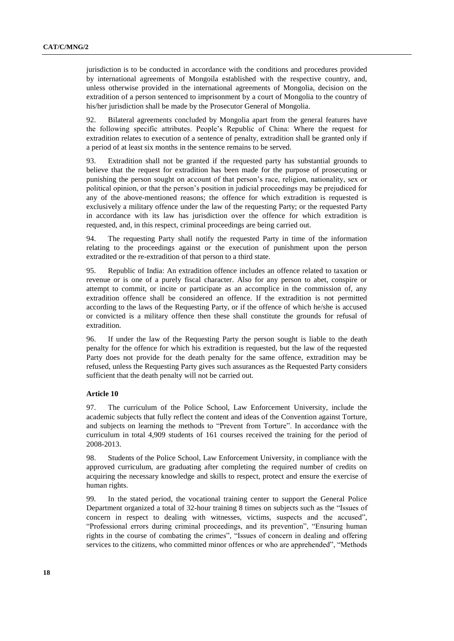jurisdiction is to be conducted in accordance with the conditions and procedures provided by international agreements of Mongoila established with the respective country, and, unless otherwise provided in the international agreements of Mongolia, decision on the extradition of a person sentenced to imprisonment by a court of Mongolia to the country of his/her jurisdiction shall be made by the Prosecutor General of Mongolia.

92. Bilateral agreements concluded by Mongolia apart from the general features have the following specific attributes. People's Republic of China: Where the request for extradition relates to execution of a sentence of penalty, extradition shall be granted only if a period of at least six months in the sentence remains to be served.

93. Extradition shall not be granted if the requested party has substantial grounds to believe that the request for extradition has been made for the purpose of prosecuting or punishing the person sought on account of that person's race, religion, nationality, sex or political opinion, or that the person's position in judicial proceedings may be prejudiced for any of the above-mentioned reasons; the offence for which extradition is requested is exclusively a military offence under the law of the requesting Party; or the requested Party in accordance with its law has jurisdiction over the offence for which extradition is requested, and, in this respect, criminal proceedings are being carried out.

94. The requesting Party shall notify the requested Party in time of the information relating to the proceedings against or the execution of punishment upon the person extradited or the re-extradition of that person to a third state.

95. Republic of India: An extradition offence includes an offence related to taxation or revenue or is one of a purely fiscal character. Also for any person to abet, conspire or attempt to commit, or incite or participate as an accomplice in the commission of, any extradition offence shall be considered an offence. If the extradition is not permitted according to the laws of the Requesting Party, or if the offence of which he/she is accused or convicted is a military offence then these shall constitute the grounds for refusal of extradition.

96. If under the law of the Requesting Party the person sought is liable to the death penalty for the offence for which his extradition is requested, but the law of the requested Party does not provide for the death penalty for the same offence, extradition may be refused, unless the Requesting Party gives such assurances as the Requested Party considers sufficient that the death penalty will not be carried out.

#### **Article 10**

97. The curriculum of the Police School, Law Enforcement University, include the academic subjects that fully reflect the content and ideas of the Convention against Torture, and subjects on learning the methods to "Prevent from Torture". In accordance with the curriculum in total 4,909 students of 161 courses received the training for the period of 2008-2013.

98. Students of the Police School, Law Enforcement University, in compliance with the approved curriculum, are graduating after completing the required number of credits on acquiring the necessary knowledge and skills to respect, protect and ensure the exercise of human rights.

99. In the stated period, the vocational training center to support the General Police Department organized a total of 32-hour training 8 times on subjects such as the "Issues of concern in respect to dealing with witnesses, victims, suspects and the accused", "Professional errors during criminal proceedings, and its prevention", "Ensuring human rights in the course of combating the crimes", "Issues of concern in dealing and offering services to the citizens, who committed minor offences or who are apprehended", "Methods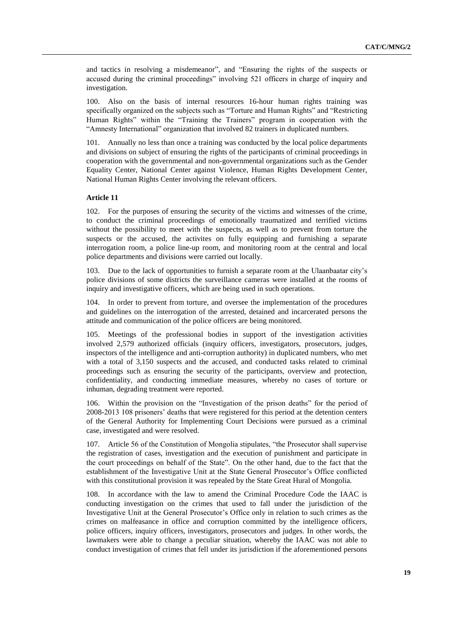and tactics in resolving a misdemeanor", and "Ensuring the rights of the suspects or accused during the criminal proceedings" involving 521 officers in charge of inquiry and investigation.

100. Also on the basis of internal resources 16-hour human rights training was specifically organized on the subjects such as "Torture and Human Rights" and "Restricting Human Rights" within the "Training the Trainers" program in cooperation with the "Amnesty International" organization that involved 82 trainers in duplicated numbers.

101. Annually no less than once a training was conducted by the local police departments and divisions on subject of ensuring the rights of the participants of criminal proceedings in cooperation with the governmental and non-governmental organizations such as the Gender Equality Center, National Center against Violence, Human Rights Development Center, National Human Rights Center involving the relevant officers.

# **Article 11**

102. For the purposes of ensuring the security of the victims and witnesses of the crime, to conduct the criminal proceedings of emotionally traumatized and terrified victims without the possibility to meet with the suspects, as well as to prevent from torture the suspects or the accused, the activites on fully equipping and furnishing a separate interrogation room, a police line-up room, and monitoring room at the central and local police departments and divisions were carried out locally.

103. Due to the lack of opportunities to furnish a separate room at the Ulaanbaatar city's police divisions of some districts the surveillance cameras were installed at the rooms of inquiry and investigative officers, which are being used in such operations.

104. In order to prevent from torture, and oversee the implementation of the procedures and guidelines on the interrogation of the arrested, detained and incarcerated persons the attitude and communication of the police officers are being monitored.

105. Meetings of the professional bodies in support of the investigation activities involved 2,579 authorized officials (inquiry officers, investigators, prosecutors, judges, inspectors of the intelligence and anti-corruption authority) in duplicated numbers, who met with a total of 3,150 suspects and the accused, and conducted tasks related to criminal proceedings such as ensuring the security of the participants, overview and protection, confidentiality, and conducting immediate measures, whereby no cases of torture or inhuman, degrading treatment were reported.

106. Within the provision on the "Investigation of the prison deaths" for the period of 2008-2013 108 prisoners' deaths that were registered for this period at the detention centers of the General Authority for Implementing Court Decisions were pursued as a criminal case, investigated and were resolved.

107. Article 56 of the Constitution of Mongolia stipulates, "the Prosecutor shall supervise the registration of cases, investigation and the execution of punishment and participate in the court proceedings on behalf of the State". On the other hand, due to the fact that the establishment of the Investigative Unit at the State General Prosecutor's Office conflicted with this constitutional provision it was repealed by the State Great Hural of Mongolia.

108. In accordance with the law to amend the Criminal Procedure Code the IAAC is conducting investigation on the crimes that used to fall under the jurisdiction of the Investigative Unit at the General Prosecutor's Office only in relation to such crimes as the crimes on malfeasance in office and corruption committed by the intelligence officers, police officers, inquiry officers, investigators, prosecutors and judges. In other words, the lawmakers were able to change a peculiar situation, whereby the IAAC was not able to conduct investigation of crimes that fell under its jurisdiction if the aforementioned persons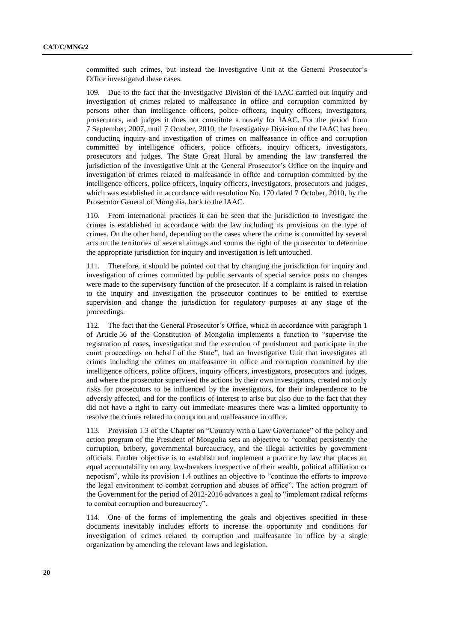committed such crimes, but instead the Investigative Unit at the General Prosecutor's Office investigated these cases.

109. Due to the fact that the Investigative Division of the IAAC carried out inquiry and investigation of crimes related to malfeasance in office and corruption committed by persons other than intelligence officers, police officers, inquiry officers, investigators, prosecutors, and judges it does not constitute a novely for IAAC. For the period from 7 September, 2007, until 7 October, 2010, the Investigative Division of the IAAC has been conducting inquiry and investigation of crimes on malfeasance in office and corruption committed by intelligence officers, police officers, inquiry officers, investigators, prosecutors and judges. The State Great Hural by amending the law transferred the jurisdiction of the Investigative Unit at the General Prosecutor's Office on the inquiry and investigation of crimes related to malfeasance in office and corruption committed by the intelligence officers, police officers, inquiry officers, investigators, prosecutors and judges, which was established in accordance with resolution No. 170 dated 7 October, 2010, by the Prosecutor General of Mongolia, back to the IAAC.

110. From international practices it can be seen that the jurisdiction to investigate the crimes is established in accordance with the law including its provisions on the type of crimes. On the other hand, depending on the cases where the crime is committed by several acts on the territories of several aimags and soums the right of the prosecutor to determine the appropriate jurisdiction for inquiry and investigation is left untouched.

111. Therefore, it should be pointed out that by changing the jurisdiction for inquiry and investigation of crimes committed by public servants of special service posts no changes were made to the supervisory function of the prosecutor. If a complaint is raised in relation to the inquiry and investigation the prosecutor continues to be entitled to exercise supervision and change the jurisdiction for regulatory purposes at any stage of the proceedings.

112. The fact that the General Prosecutor's Office, which in accordance with paragraph 1 of Article 56 of the Constitution of Mongolia implements a function to "supervise the registration of cases, investigation and the execution of punishment and participate in the court proceedings on behalf of the State", had an Investigative Unit that investigates all crimes including the crimes on malfeasance in office and corruption committed by the intelligence officers, police officers, inquiry officers, investigators, prosecutors and judges, and where the prosecutor supervised the actions by their own investigators, created not only risks for prosecutors to be influenced by the investigators, for their independence to be adversly affected, and for the conflicts of interest to arise but also due to the fact that they did not have a right to carry out immediate measures there was a limited opportunity to resolve the crimes related to corruption and malfeasance in office.

113. Provision 1.3 of the Chapter on "Country with a Law Governance" of the policy and action program of the President of Mongolia sets an objective to "combat persistently the corruption, bribery, governmental bureaucracy, and the illegal activities by government officials. Further objective is to establish and implement a practice by law that places an equal accountability on any law-breakers irrespective of their wealth, political affiliation or nepotism", while its provision 1.4 outlines an objective to "continue the efforts to improve the legal environment to combat corruption and abuses of office". The action program of the Government for the period of 2012-2016 advances a goal to "implement radical reforms to combat corruption and bureaucracy".

114. One of the forms of implementing the goals and objectives specified in these documents inevitably includes efforts to increase the opportunity and conditions for investigation of crimes related to corruption and malfeasance in office by a single organization by amending the relevant laws and legislation.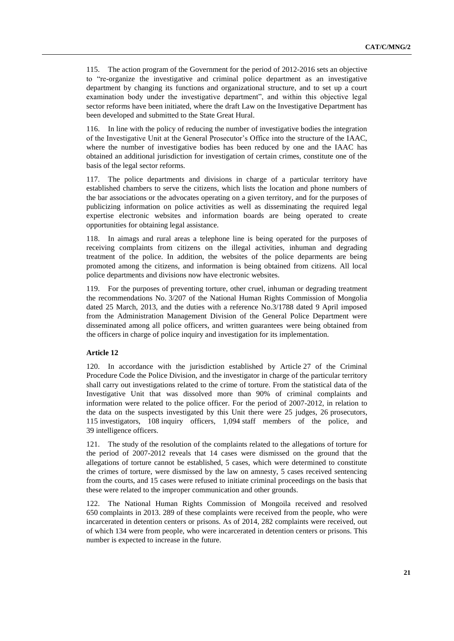115. The action program of the Government for the period of 2012-2016 sets an objective to "re-organize the investigative and criminal police department as an investigative department by changing its functions and organizational structure, and to set up a court examination body under the investigative department", and within this objective legal sector reforms have been initiated, where the draft Law on the Investigative Department has been developed and submitted to the State Great Hural.

116. In line with the policy of reducing the number of investigative bodies the integration of the Investigative Unit at the General Prosecutor's Office into the structure of the IAAC, where the number of investigative bodies has been reduced by one and the IAAC has obtained an additional jurisdiction for investigation of certain crimes, constitute one of the basis of the legal sector reforms.

117. The police departments and divisions in charge of a particular territory have established chambers to serve the citizens, which lists the location and phone numbers of the bar associations or the advocates operating on a given territory, and for the purposes of publicizing information on police activities as well as disseminating the required legal expertise electronic websites and information boards are being operated to create opportunities for obtaining legal assistance.

118. In aimags and rural areas a telephone line is being operated for the purposes of receiving complaints from citizens on the illegal activities, inhuman and degrading treatment of the police. In addition, the websites of the police deparments are being promoted among the citizens, and information is being obtained from citizens. All local police departments and divisions now have electronic websites.

119. For the purposes of preventing torture, other cruel, inhuman or degrading treatment the recommendations No. 3/207 of the National Human Rights Commission of Mongolia dated 25 March, 2013, and the duties with a reference No.3/1788 dated 9 April imposed from the Administration Management Division of the General Police Department were disseminated among all police officers, and written guarantees were being obtained from the officers in charge of police inquiry and investigation for its implementation.

# **Article 12**

120. In accordance with the jurisdiction established by Article 27 of the Criminal Procedure Code the Police Division, and the investigator in charge of the particular territory shall carry out investigations related to the crime of torture. From the statistical data of the Investigative Unit that was dissolved more than 90% of criminal complaints and information were related to the police officer. For the period of 2007-2012, in relation to the data on the suspects investigated by this Unit there were 25 judges, 26 prosecutors, 115 investigators, 108 inquiry officers, 1,094 staff members of the police, and 39 intelligence officers.

121. The study of the resolution of the complaints related to the allegations of torture for the period of 2007-2012 reveals that 14 cases were dismissed on the ground that the allegations of torture cannot be established, 5 cases, which were determined to constitute the crimes of torture, were dismissed by the law on amnesty, 5 cases received sentencing from the courts, and 15 cases were refused to initiate criminal proceedings on the basis that these were related to the improper communication and other grounds.

The National Human Rights Commission of Mongoila received and resolved 650 complaints in 2013. 289 of these complaints were received from the people, who were incarcerated in detention centers or prisons. As of 2014, 282 complaints were received, out of which 134 were from people, who were incarcerated in detention centers or prisons. This number is expected to increase in the future.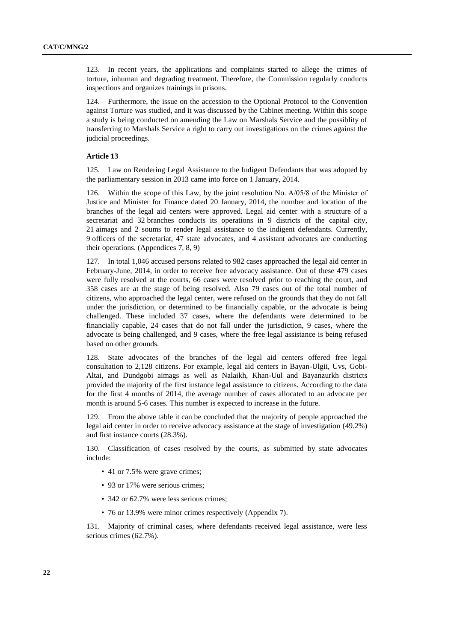123. In recent years, the applications and complaints started to allege the crimes of torture, inhuman and degrading treatment. Therefore, the Commission regularly conducts inspections and organizes trainings in prisons.

124. Furthermore, the issue on the accession to the Optional Protocol to the Convention against Torture was studied, and it was discussed by the Cabinet meeting. Within this scope a study is being conducted on amending the Law on Marshals Service and the possiblity of transferring to Marshals Service a right to carry out investigations on the crimes against the judicial proceedings.

#### **Article 13**

125. Law on Rendering Legal Assistance to the Indigent Defendants that was adopted by the parliamentary session in 2013 came into force on 1 January, 2014.

126. Within the scope of this Law, by the joint resolution No. А/05/8 of the Minister of Justice and Minister for Finance dated 20 January, 2014, the number and location of the branches of the legal aid centers were approved. Legal aid center with a structure of a secretariat and 32 branches conducts its operations in 9 districts of the capital city, 21 aimags and 2 soums to render legal assistance to the indigent defendants. Currently, 9 officers of the secretariat, 47 state advocates, and 4 assistant advocates are conducting their operations. (Appendices 7, 8, 9)

127. In total 1,046 accused persons related to 982 cases approached the legal aid center in February-June, 2014, in order to receive free advocacy assistance. Out of these 479 cases were fully resolved at the courts, 66 cases were resolved prior to reaching the court, and 358 cases are at the stage of being resolved. Also 79 cases out of the total number of citizens, who approached the legal center, were refused on the grounds that they do not fall under the jurisdiction, or determined to be financially capable, or the advocate is being challenged. These included 37 cases, where the defendants were determined to be financially capable, 24 cases that do not fall under the jurisdiction, 9 cases, where the advocate is being challenged, and 9 cases, where the free legal assistance is being refused based on other grounds.

128. State advocates of the branches of the legal aid centers offered free legal consultation to 2,128 citizens. For example, legal aid centers in Bayan-Ulgii, Uvs, Gobi-Altai, and Dundgobi aimags as well as Nalaikh, Khan-Uul and Bayanzurkh districts provided the majority of the first instance legal assistance to citizens. According to the data for the first 4 months of 2014, the average number of cases allocated to an advocate per month is around 5-6 cases. This number is expected to increase in the future.

129. From the above table it can be concluded that the majority of people approached the legal aid center in order to receive advocacy assistance at the stage of investigation (49.2%) and first instance courts (28.3%).

130. Classification of cases resolved by the courts, as submitted by state advocates include:

- 41 or 7.5% were grave crimes;
- 93 or 17% were serious crimes;
- 342 or 62.7% were less serious crimes;
- 76 or 13.9% were minor crimes respectively (Appendix 7).

131. Majority of criminal cases, where defendants received legal assistance, were less serious crimes (62.7%).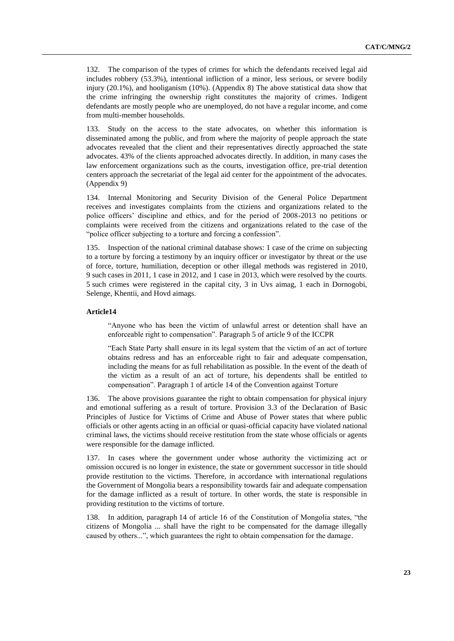132. The comparison of the types of crimes for which the defendants received legal aid includes robbery (53.3%), intentional infliction of a minor, less serious, or severe bodily injury (20.1%), and hooliganism (10%). (Appendix 8) The above statistical data show that the crime infringing the ownership right constitutes the majority of crimes. Indigent defendants are mostly people who are unemployed, do not have a regular income, and come from multi-member households.

133. Study on the access to the state advocates, on whether this information is disseminated among the public, and from where the majority of people approach the state advocates revealed that the client and their representatives directly approached the state advocates. 43% of the clients approached advocates directly. In addition, in many cases the law enforcement organizations such as the courts, investigation office, pre-trial detention centers approach the secretariat of the legal aid center for the appointment of the advocates. (Appendix 9)

134. Internal Monitoring and Security Division of the General Police Department receives and investigates complaints from the ctiziens and organizations related to the police officers' discipline and ethics, and for the period of 2008-2013 no petitions or complaints were received from the citizens and organizations related to the case of the "police officer subjecting to a torture and forcing a confession".

135. Inspection of the national criminal database shows: 1 case of the crime on subjecting to a torture by forcing a testimony by an inquiry officer or investigator by threat or the use of force, torture, humiliation, deception or other illegal methods was registered in 2010, 9 such cases in 2011, 1 case in 2012, and 1 case in 2013, which were resolved by the courts. 5 such crimes were registered in the capital city, 3 in Uvs aimag, 1 each in Dornogobi, Selenge, Khentii, and Hovd aimags.

# **Article14**

"Anyone who has been the victim of unlawful arrest or detention shall have an enforceable right to compensation". Paragraph 5 of article 9 of the ICCPR

"Each State Party shall ensure in its legal system that the victim of an act of torture obtains redress and has an enforceable right to fair and adequate compensation, including the means for as full rehabilitation as possible. In the event of the death of the victim as a result of an act of torture, his dependents shall be entitled to compensation". Paragraph 1 of article 14 of the Convention against Torture

136. The above provisions guarantee the right to obtain compensation for physical injury and emotional suffering as a result of torture. Provision 3.3 of the Declaration of Basic Principles of Justice for Victims of Crime and Abuse of Power states that where public officials or other agents acting in an official or quasi-official capacity have violated national criminal laws, the victims should receive restitution from the state whose officials or agents were responsible for the damage inflicted.

137. In cases where the government under whose authority the victimizing act or omission occured is no longer in existence, the state or government successor in title should provide restitution to the victims. Therefore, in accordance with international regulations the Government of Mongolia bears a responsibility towards fair and adequate compensation for the damage inflicted as a result of torture. In other words, the state is responsible in providing restitution to the victims of torture.

138. In addition, paragraph 14 of article 16 of the Constitution of Mongolia states, "the citizens of Mongolia ... shall have the right to be compensated for the damage illegally caused by others...", which guarantees the right to obtain compensation for the damage.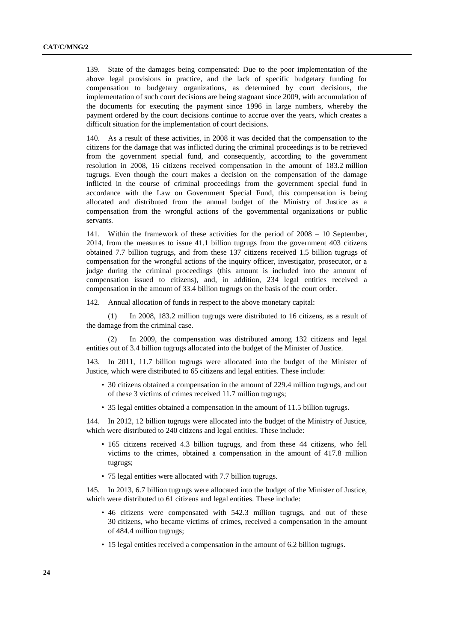139. State of the damages being compensated: Due to the poor implementation of the above legal provisions in practice, and the lack of specific budgetary funding for compensation to budgetary organizations, as determined by court decisions, the implementation of such court decisions are being stagnant since 2009, with accumulation of the documents for executing the payment since 1996 in large numbers, whereby the payment ordered by the court decisions continue to accrue over the years, which creates a difficult situation for the implementation of court decisions.

140. As a result of these activities, in 2008 it was decided that the compensation to the citizens for the damage that was inflicted during the criminal proceedings is to be retrieved from the government special fund, and consequently, according to the government resolution in 2008, 16 citizens received compensation in the amount of 183.2 million tugrugs. Even though the court makes a decision on the compensation of the damage inflicted in the course of criminal proceedings from the government special fund in accordance with the Law on Government Special Fund, this compensation is being allocated and distributed from the annual budget of the Ministry of Justice as a compensation from the wrongful actions of the governmental organizations or public servants.

141. Within the framework of these activities for the period of 2008 – 10 September, 2014, from the measures to issue 41.1 billion tugrugs from the government 403 citizens obtained 7.7 billion tugrugs, and from these 137 citizens received 1.5 billion tugrugs of compensation for the wrongful actions of the inquiry officer, investigator, prosecutor, or a judge during the criminal proceedings (this amount is included into the amount of compensation issued to citizens), and, in addition, 234 legal entities received a compensation in the amount of 33.4 billion tugrugs on the basis of the court order.

142. Annual allocation of funds in respect to the above monetary capital:

(1) In 2008, 183.2 million tugrugs were distributed to 16 citizens, as a result of the damage from the criminal case.

(2) In 2009, the compensation was distributed among 132 citizens and legal entities out of 3.4 billion tugrugs allocated into the budget of the Minister of Justice.

143. In 2011, 11.7 billion tugrugs were allocated into the budget of the Minister of Justice, which were distributed to 65 citizens and legal entities. These include:

- 30 citizens obtained a compensation in the amount of 229.4 million tugrugs, and out of these 3 victims of crimes received 11.7 million tugrugs;
- 35 legal entities obtained a compensation in the amount of 11.5 billion tugrugs.

144. In 2012, 12 billion tugrugs were allocated into the budget of the Ministry of Justice, which were distributed to 240 citizens and legal entities. These include:

- 165 citizens received 4.3 billion tugrugs, and from these 44 citizens, who fell victims to the crimes, obtained a compensation in the amount of 417.8 million tugrugs;
- 75 legal entities were allocated with 7.7 billion tugrugs.

145. In 2013, 6.7 billion tugrugs were allocated into the budget of the Minister of Justice, which were distributed to 61 citizens and legal entities. These include:

- 46 citizens were compensated with 542.3 million tugrugs, and out of these 30 citizens, who became victims of crimes, received a compensation in the amount of 484.4 million tugrugs;
- 15 legal entities received a compensation in the amount of 6.2 billion tugrugs.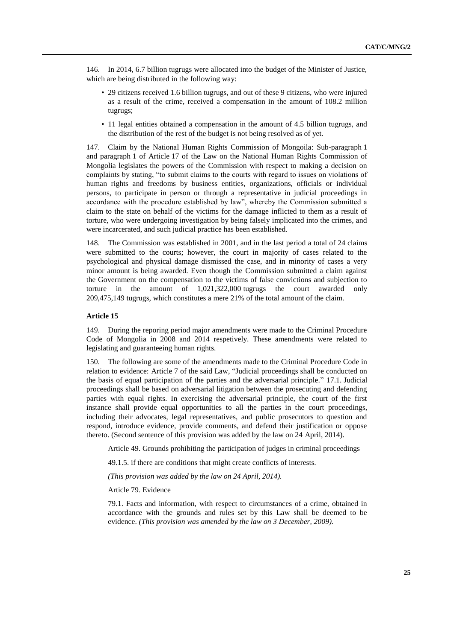146. In 2014, 6.7 billion tugrugs were allocated into the budget of the Minister of Justice, which are being distributed in the following way:

- 29 citizens received 1.6 billion tugrugs, and out of these 9 citizens, who were injured as a result of the crime, received a compensation in the amount of 108.2 million tugrugs;
- 11 legal entities obtained a compensation in the amount of 4.5 billion tugrugs, and the distribution of the rest of the budget is not being resolved as of yet.

147. Claim by the National Human Rights Commission of Mongoila: Sub-paragraph 1 and paragraph 1 of Article 17 of the Law on the National Human Rights Commission of Mongolia legislates the powers of the Commission with respect to making a decision on complaints by stating, "to submit claims to the courts with regard to issues on violations of human rights and freedoms by business entities, organizations, officials or individual persons, to participate in person or through a representative in judicial proceedings in accordance with the procedure established by law", whereby the Commission submitted a claim to the state on behalf of the victims for the damage inflicted to them as a result of torture, who were undergoing investigation by being falsely implicated into the crimes, and were incarcerated, and such judicial practice has been established.

148. The Commission was established in 2001, and in the last period a total of 24 claims were submitted to the courts; however, the court in majority of cases related to the psychological and physical damage dismissed the case, and in minority of cases a very minor amount is being awarded. Even though the Commission submitted a claim against the Government on the compensation to the victims of false convictions and subjection to torture in the amount of 1,021,322,000 tugrugs the court awarded only 209,475,149 tugrugs, which constitutes a mere 21% of the total amount of the claim.

# **Article 15**

149. During the reporing period major amendments were made to the Criminal Procedure Code of Mongolia in 2008 and 2014 respetively. These amendments were related to legislating and guaranteeing human rights.

150. The following are some of the amendments made to the Criminal Procedure Code in relation to evidence: Article 7 of the said Law, "Judicial proceedings shall be conducted on the basis of equal participation of the parties and the adversarial principle." 17.1. Judicial proceedings shall be based on adversarial litigation between the prosecuting and defending parties with equal rights. In exercising the adversarial principle, the court of the first instance shall provide equal opportunities to all the parties in the court proceedings, including their advocates, legal representatives, and public prosecutors to question and respond, introduce evidence, provide comments, and defend their justification or oppose thereto. (Second sentence of this provision was added by the law on 24 April, 2014).

Article 49. Grounds prohibiting the participation of judges in criminal proceedings

49.1.5. if there are conditions that might create conflicts of interests.

*(This provision was added by the law on 24 April, 2014).* 

Article 79. Evidence

79.1. Facts and information, with respect to circumstances of a crime, obtained in accordance with the grounds and rules set by this Law shall be deemed to be evidence. *(This provision was amended by the law on 3 December, 2009).*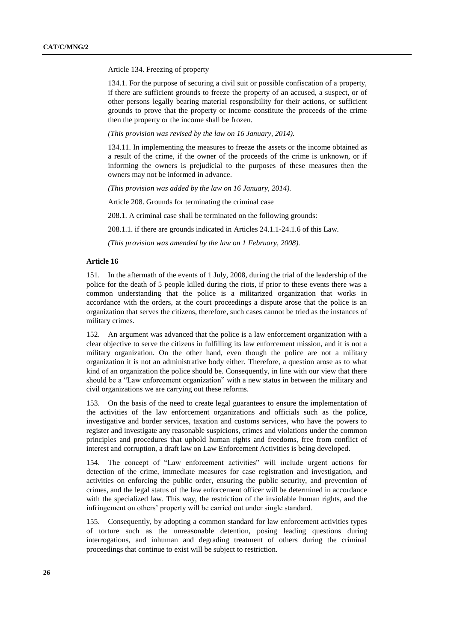Article 134. Freezing of property

134.1. For the purpose of securing a civil suit or possible confiscation of a property, if there are sufficient grounds to freeze the property of an accused, a suspect, or of other persons legally bearing material responsibility for their actions, or sufficient grounds to prove that the property or income constitute the proceeds of the crime then the property or the income shall be frozen.

*(This provision was revised by the law on 16 January, 2014).*

134.11. In implementing the measures to freeze the assets or the income obtained as a result of the crime, if the owner of the proceeds of the crime is unknown, or if informing the owners is prejudicial to the purposes of these measures then the owners may not be informed in advance.

*(This provision was added by the law on 16 January, 2014).*

Article 208. Grounds for terminating the criminal case

208.1. A criminal case shall be terminated on the following grounds:

208.1.1. if there are grounds indicated in Articles 24.1.1-24.1.6 of this Law.

*(This provision was amended by the law on 1 February, 2008).*

# **Article 16**

151. In the aftermath of the events of 1 July, 2008, during the trial of the leadership of the police for the death of 5 people killed during the riots, if prior to these events there was a common understanding that the police is a militarized organization that works in accordance with the orders, at the court proceedings a dispute arose that the police is an organization that serves the citizens, therefore, such cases cannot be tried as the instances of military crimes.

152. An argument was advanced that the police is a law enforcement organization with a clear objective to serve the citizens in fulfilling its law enforcement mission, and it is not a military organization. On the other hand, even though the police are not a military organization it is not an administrative body either. Therefore, a question arose as to what kind of an organization the police should be. Consequently, in line with our view that there should be a "Law enforcement organization" with a new status in between the military and civil organizations we are carrying out these reforms.

153. On the basis of the need to create legal guarantees to ensure the implementation of the activities of the law enforcement organizations and officials such as the police, investigative and border services, taxation and customs services, who have the powers to register and investigate any reasonable suspicions, crimes and violations under the common principles and procedures that uphold human rights and freedoms, free from conflict of interest and corruption, a draft law on Law Enforcement Activities is being developed.

154. The concept of "Law enforcement activities" will include urgent actions for detection of the crime, immediate measures for case registration and investigation, and activities on enforcing the public order, ensuring the public security, and prevention of crimes, and the legal status of the law enforcement officer will be determined in accordance with the specialized law. This way, the restriction of the inviolable human rights, and the infringement on others' property will be carried out under single standard.

155. Consequently, by adopting a common standard for law enforcement activities types of torture such as the unreasonable detention, posing leading questions during interrogations, and inhuman and degrading treatment of others during the criminal proceedings that continue to exist will be subject to restriction.